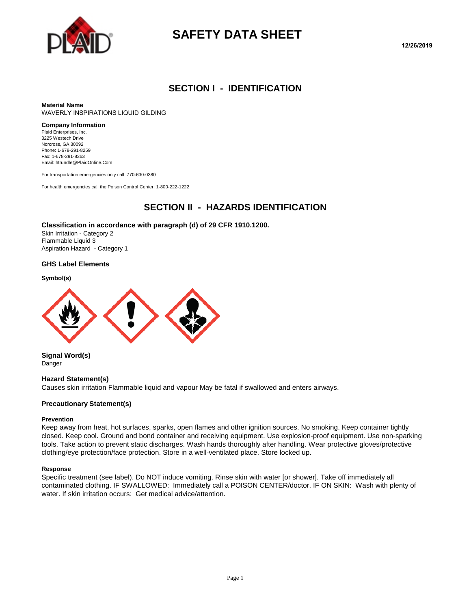

# **SAFETY DATA SHEET**

#### **SECTION I - IDENTIFICATION**

**Material Name** WAVERLY INSPIRATIONS LIQUID GILDING

#### **Company Information**

Plaid Enterprises, Inc. 3225 Westech Drive Norcross, GA 30092 Phone: 1-678-291-8259 Fax: 1-678-291-8363 Email: htrundle@PlaidOnline.Com

For transportation emergencies only call: 770-630-0380

For health emergencies call the Poison Control Center: 1-800-222-1222

#### **SECTION II - HAZARDS IDENTIFICATION**

#### **Classification in accordance with paragraph (d) of 29 CFR 1910.1200.**

Skin Irritation - Category 2 Flammable Liquid 3 Aspiration Hazard - Category 1

#### **GHS Label Elements**

**Symbol(s)**



**Signal Word(s)** Danger

#### **Hazard Statement(s)**

Causes skin irritation Flammable liquid and vapour May be fatal if swallowed and enters airways.

#### **Precautionary Statement(s)**

#### **Prevention**

Keep away from heat, hot surfaces, sparks, open flames and other ignition sources. No smoking. Keep container tightly closed. Keep cool. Ground and bond container and receiving equipment. Use explosion-proof equipment. Use non-sparking tools. Take action to prevent static discharges. Wash hands thoroughly after handling. Wear protective gloves/protective clothing/eye protection/face protection. Store in a well-ventilated place. Store locked up.

#### **Response**

Specific treatment (see label). Do NOT induce vomiting. Rinse skin with water [or shower]. Take off immediately all contaminated clothing. IF SWALLOWED: Immediately call a POISON CENTER/doctor. IF ON SKIN: Wash with plenty of water. If skin irritation occurs: Get medical advice/attention.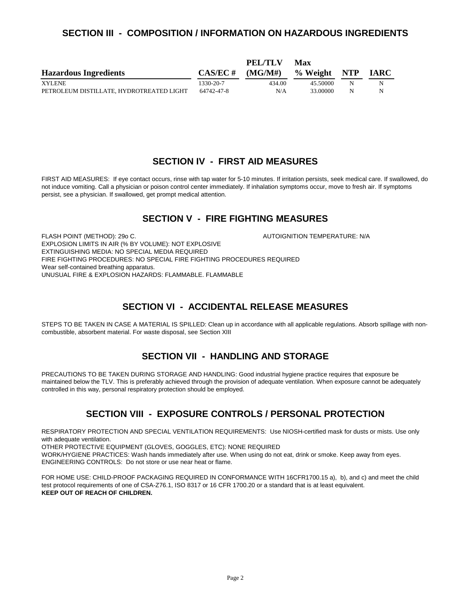#### **SECTION III - COMPOSITION / INFORMATION ON HAZARDOUS INGREDIENTS**

|                                          |             | PEL/TLV | Max          |   |             |
|------------------------------------------|-------------|---------|--------------|---|-------------|
| <b>Hazardous Ingredients</b>             | $CAS/EC \#$ | (MGMH)  | % Weight NTP |   | <b>IARC</b> |
| <b>XYLENE</b>                            | 1330-20-7   | 434.00  | 45.50000     | N | N           |
| PETROLEUM DISTILLATE. HYDROTREATED LIGHT | 64742-47-8  | N/A     | 33.00000     | N | N           |

#### **SECTION IV - FIRST AID MEASURES**

FIRST AID MEASURES: If eye contact occurs, rinse with tap water for 5-10 minutes. If irritation persists, seek medical care. If swallowed, do not induce vomiting. Call a physician or poison control center immediately. If inhalation symptoms occur, move to fresh air. If symptoms persist, see a physician. If swallowed, get prompt medical attention.

### **SECTION V - FIRE FIGHTING MEASURES**

FLASH POINT (METHOD): 29o C.  $\blacksquare$  AUTOIGNITION TEMPERATURE: N/A EXPLOSION LIMITS IN AIR (% BY VOLUME): NOT EXPLOSIVE EXTINGUISHING MEDIA: NO SPECIAL MEDIA REQUIRED FIRE FIGHTING PROCEDURES: NO SPECIAL FIRE FIGHTING PROCEDURES REQUIRED Wear self-contained breathing apparatus. UNUSUAL FIRE & EXPLOSION HAZARDS: FLAMMABLE. FLAMMABLE

## **SECTION VI - ACCIDENTAL RELEASE MEASURES**

STEPS TO BE TAKEN IN CASE A MATERIAL IS SPILLED: Clean up in accordance with all applicable regulations. Absorb spillage with noncombustible, absorbent material. For waste disposal, see Section XIII

#### **SECTION VII - HANDLING AND STORAGE**

PRECAUTIONS TO BE TAKEN DURING STORAGE AND HANDLING: Good industrial hygiene practice requires that exposure be maintained below the TLV. This is preferably achieved through the provision of adequate ventilation. When exposure cannot be adequately controlled in this way, personal respiratory protection should be employed.

## **SECTION VIII - EXPOSURE CONTROLS / PERSONAL PROTECTION**

RESPIRATORY PROTECTION AND SPECIAL VENTILATION REQUIREMENTS: Use NIOSH-certified mask for dusts or mists. Use only with adequate ventilation.

OTHER PROTECTIVE EQUIPMENT (GLOVES, GOGGLES, ETC): NONE REQUIRED

WORK/HYGIENE PRACTICES: Wash hands immediately after use. When using do not eat, drink or smoke. Keep away from eyes. ENGINEERING CONTROLS: Do not store or use near heat or flame.

FOR HOME USE: CHILD-PROOF PACKAGING REQUIRED IN CONFORMANCE WITH 16CFR1700.15 a), b), and c) and meet the child test protocol requirements of one of CSA-Z76.1, ISO 8317 or 16 CFR 1700.20 or a standard that is at least equivalent. **KEEP OUT OF REACH OF CHILDREN.**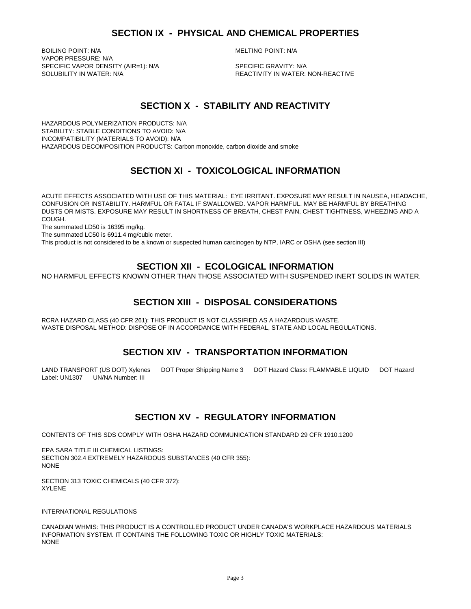BOILING POINT: N/A **MELTING POINT: N/A** VAPOR PRESSURE: N/A SPECIFIC VAPOR DENSITY (AIR=1): N/A SPECIFIC GRAVITY: N/A SOLUBILITY IN WATER:<br>SOLUBILITY IN WATER: N/A

REACTIVITY IN WATER: NON-REACTIVE

### **SECTION X - STABILITY AND REACTIVITY**

HAZARDOUS POLYMERIZATION PRODUCTS: N/A STABILITY: STABLE CONDITIONS TO AVOID: N/A INCOMPATIBILITY (MATERIALS TO AVOID): N/A HAZARDOUS DECOMPOSITION PRODUCTS: Carbon monoxide, carbon dioxide and smoke

## **SECTION XI - TOXICOLOGICAL INFORMATION**

ACUTE EFFECTS ASSOCIATED WITH USE OF THIS MATERIAL: EYE IRRITANT. EXPOSURE MAY RESULT IN NAUSEA, HEADACHE, CONFUSION OR INSTABILITY. HARMFUL OR FATAL IF SWALLOWED. VAPOR HARMFUL. MAY BE HARMFUL BY BREATHING DUSTS OR MISTS. EXPOSURE MAY RESULT IN SHORTNESS OF BREATH, CHEST PAIN, CHEST TIGHTNESS, WHEEZING AND A COUGH.

The summated LD50 is 16395 mg/kg.

The summated LC50 is 6911.4 mg/cubic meter.

This product is not considered to be a known or suspected human carcinogen by NTP, IARC or OSHA (see section III)

#### **SECTION XII - ECOLOGICAL INFORMATION**

NO HARMFUL EFFECTS KNOWN OTHER THAN THOSE ASSOCIATED WITH SUSPENDED INERT SOLIDS IN WATER.

## **SECTION XIII - DISPOSAL CONSIDERATIONS**

RCRA HAZARD CLASS (40 CFR 261): THIS PRODUCT IS NOT CLASSIFIED AS A HAZARDOUS WASTE. WASTE DISPOSAL METHOD: DISPOSE OF IN ACCORDANCE WITH FEDERAL, STATE AND LOCAL REGULATIONS.

## **SECTION XIV - TRANSPORTATION INFORMATION**

LAND TRANSPORT (US DOT) Xylenes DOT Proper Shipping Name 3 DOT Hazard Class: FLAMMABLE LIQUID DOT Hazard Label: UN1307 UN/NA Number: III

#### **SECTION XV - REGULATORY INFORMATION**

CONTENTS OF THIS SDS COMPLY WITH OSHA HAZARD COMMUNICATION STANDARD 29 CFR 1910.1200

EPA SARA TITLE III CHEMICAL LISTINGS: SECTION 302.4 EXTREMELY HAZARDOUS SUBSTANCES (40 CFR 355): NONE

SECTION 313 TOXIC CHEMICALS (40 CFR 372): XYLENE

INTERNATIONAL REGULATIONS

CANADIAN WHMIS: THIS PRODUCT IS A CONTROLLED PRODUCT UNDER CANADA'S WORKPLACE HAZARDOUS MATERIALS INFORMATION SYSTEM. IT CONTAINS THE FOLLOWING TOXIC OR HIGHLY TOXIC MATERIALS: NONE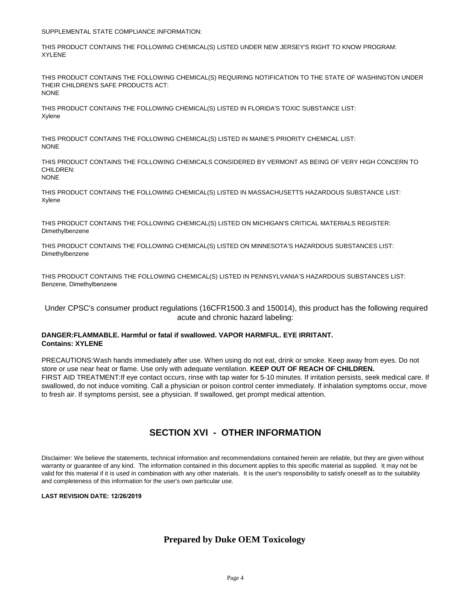SUPPLEMENTAL STATE COMPLIANCE INFORMATION:

THIS PRODUCT CONTAINS THE FOLLOWING CHEMICAL(S) LISTED UNDER NEW JERSEY'S RIGHT TO KNOW PROGRAM: XYLENE

THIS PRODUCT CONTAINS THE FOLLOWING CHEMICAL(S) REQUIRING NOTIFICATION TO THE STATE OF WASHINGTON UNDER THEIR CHILDREN'S SAFE PRODUCTS ACT: **NONE** 

THIS PRODUCT CONTAINS THE FOLLOWING CHEMICAL(S) LISTED IN FLORIDA'S TOXIC SUBSTANCE LIST: Xylene

THIS PRODUCT CONTAINS THE FOLLOWING CHEMICAL(S) LISTED IN MAINE'S PRIORITY CHEMICAL LIST: NONE

THIS PRODUCT CONTAINS THE FOLLOWING CHEMICALS CONSIDERED BY VERMONT AS BEING OF VERY HIGH CONCERN TO CHILDREN: NONE

THIS PRODUCT CONTAINS THE FOLLOWING CHEMICAL(S) LISTED IN MASSACHUSETTS HAZARDOUS SUBSTANCE LIST: Xylene

THIS PRODUCT CONTAINS THE FOLLOWING CHEMICAL(S) LISTED ON MICHIGAN'S CRITICAL MATERIALS REGISTER: Dimethylbenzene

THIS PRODUCT CONTAINS THE FOLLOWING CHEMICAL(S) LISTED ON MINNESOTA'S HAZARDOUS SUBSTANCES LIST: Dimethylbenzene

THIS PRODUCT CONTAINS THE FOLLOWING CHEMICAL(S) LISTED IN PENNSYLVANIA'S HAZARDOUS SUBSTANCES LIST: Benzene, Dimethylbenzene

Under CPSC's consumer product regulations (16CFR1500.3 and 150014), this product has the following required acute and chronic hazard labeling:

#### **DANGER:FLAMMABLE. Harmful or fatal if swallowed. VAPOR HARMFUL. EYE IRRITANT. Contains: XYLENE**

PRECAUTIONS:Wash hands immediately after use. When using do not eat, drink or smoke. Keep away from eyes. Do not store or use near heat or flame. Use only with adequate ventilation. **KEEP OUT OF REACH OF CHILDREN.**  FIRST AID TREATMENT:If eye contact occurs, rinse with tap water for 5-10 minutes. If irritation persists, seek medical care. If swallowed, do not induce vomiting. Call a physician or poison control center immediately. If inhalation symptoms occur, move to fresh air. If symptoms persist, see a physician. If swallowed, get prompt medical attention.

## **SECTION XVI - OTHER INFORMATION**

Disclaimer: We believe the statements, technical information and recommendations contained herein are reliable, but they are given without warranty or guarantee of any kind. The information contained in this document applies to this specific material as supplied. It may not be valid for this material if it is used in combination with any other materials. It is the user's responsibility to satisfy oneself as to the suitability and completeness of this information for the user's own particular use.

**LAST REVISION DATE: 12/26/2019**

#### **Prepared by Duke OEM Toxicology**